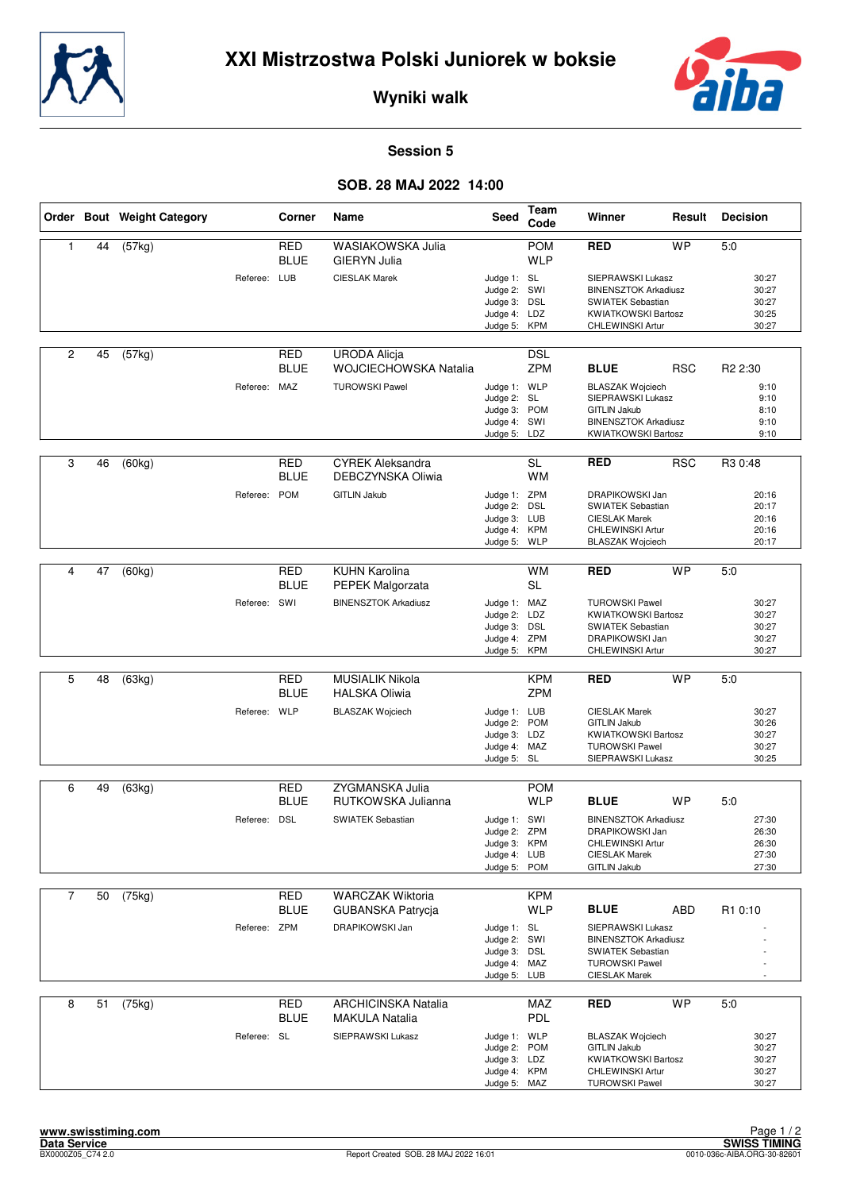



**Wyniki walk**

## **Session 5**

## **SOB. 28 MAJ 2022 14:00**

|                |    | Order Bout Weight Category |              | Corner                    | Name                                                | Seed                                                                         | Team<br>Code             | Winner                                                                                                                           | Result     | <b>Decision</b>                           |
|----------------|----|----------------------------|--------------|---------------------------|-----------------------------------------------------|------------------------------------------------------------------------------|--------------------------|----------------------------------------------------------------------------------------------------------------------------------|------------|-------------------------------------------|
| $\mathbf{1}$   | 44 | (57kg)                     |              | <b>RED</b><br><b>BLUE</b> | WASIAKOWSKA Julia<br><b>GIERYN Julia</b>            |                                                                              | <b>POM</b><br><b>WLP</b> | <b>RED</b>                                                                                                                       | <b>WP</b>  | 5:0                                       |
|                |    |                            | Referee: LUB |                           | <b>CIESLAK Marek</b>                                | Judge 1: SL<br>Judge 2: SWI<br>Judge 3: DSL<br>Judge 4: LDZ<br>Judge 5:      | KPM                      | SIEPRAWSKI Lukasz<br><b>BINENSZTOK Arkadiusz</b><br>SWIATEK Sebastian<br><b>KWIATKOWSKI Bartosz</b><br>CHLEWINSKI Artur          |            | 30:27<br>30:27<br>30:27<br>30:25<br>30:27 |
| $\overline{c}$ | 45 | (57kg)                     |              | <b>RED</b><br><b>BLUE</b> | <b>URODA Alicja</b><br>WOJCIECHOWSKA Natalia        |                                                                              | <b>DSL</b><br><b>ZPM</b> | <b>BLUE</b>                                                                                                                      | <b>RSC</b> | R <sub>2</sub> 2:30                       |
|                |    |                            | Referee: MAZ |                           | <b>TUROWSKI Pawel</b>                               | Judge 1: WLP<br>Judge 2:<br>Judge 3: POM<br>Judge 4: SWI<br>Judge 5: LDZ     | <b>SL</b>                | <b>BLASZAK Wojciech</b><br>SIEPRAWSKI Lukasz<br><b>GITLIN Jakub</b><br><b>BINENSZTOK Arkadiusz</b><br><b>KWIATKOWSKI Bartosz</b> |            | 9:10<br>9:10<br>8:10<br>9:10<br>9:10      |
| 3              | 46 | (60kg)                     |              | <b>RED</b><br><b>BLUE</b> | <b>CYREK Aleksandra</b><br>DEBCZYNSKA Oliwia        |                                                                              | <b>SL</b><br><b>WM</b>   | <b>RED</b>                                                                                                                       | <b>RSC</b> | R3 0:48                                   |
|                |    |                            | Referee:     | <b>POM</b>                | <b>GITLIN Jakub</b>                                 | Judge 1: ZPM<br>Judge 2: DSL<br>Judge 3: LUB<br>Judge 4:<br>Judge 5:         | <b>KPM</b><br><b>WLP</b> | DRAPIKOWSKI Jan<br><b>SWIATEK Sebastian</b><br><b>CIESLAK Marek</b><br>CHLEWINSKI Artur<br><b>BLASZAK Wojciech</b>               |            | 20:16<br>20:17<br>20:16<br>20:16<br>20:17 |
|                |    |                            |              |                           |                                                     |                                                                              |                          |                                                                                                                                  |            |                                           |
| 4              | 47 | (60kg)                     |              | <b>RED</b><br><b>BLUE</b> | <b>KUHN Karolina</b><br><b>PEPEK Malgorzata</b>     |                                                                              | <b>WM</b><br><b>SL</b>   | <b>RED</b>                                                                                                                       | <b>WP</b>  | 5:0                                       |
|                |    |                            | Referee: SWI |                           | <b>BINENSZTOK Arkadiusz</b>                         | Judge 1: MAZ<br>Judge 2: LDZ<br>Judge 3: DSL<br>Judge 4: ZPM<br>Judge 5:     | <b>KPM</b>               | <b>TUROWSKI Pawel</b><br><b>KWIATKOWSKI Bartosz</b><br><b>SWIATEK Sebastian</b><br>DRAPIKOWSKI Jan<br>CHLEWINSKI Artur           |            | 30:27<br>30:27<br>30:27<br>30:27<br>30:27 |
|                |    |                            |              |                           |                                                     |                                                                              |                          |                                                                                                                                  |            |                                           |
| 5              | 48 | (63kg)                     |              | <b>RED</b><br><b>BLUE</b> | <b>MUSIALIK Nikola</b><br><b>HALSKA Oliwia</b>      |                                                                              | <b>KPM</b><br><b>ZPM</b> | <b>RED</b>                                                                                                                       | <b>WP</b>  | 5:0                                       |
|                |    |                            | Referee: WLP |                           | <b>BLASZAK Wojciech</b>                             | Judge 1: LUB<br>Judge 2: POM<br>Judge 3: LDZ<br>Judge 4: MAZ<br>Judge 5:     | <b>SL</b>                | <b>CIESLAK Marek</b><br><b>GITLIN Jakub</b><br><b>KWIATKOWSKI Bartosz</b><br><b>TUROWSKI Pawel</b><br>SIEPRAWSKI Lukasz          |            | 30:27<br>30:26<br>30:27<br>30:27<br>30:25 |
| 6              | 49 | (63kg)                     |              | <b>RED</b>                | ZYGMANSKA Julia                                     |                                                                              | <b>POM</b>               |                                                                                                                                  |            |                                           |
|                |    |                            |              | <b>BLUE</b>               | RUTKOWSKA Julianna                                  |                                                                              | <b>WLP</b>               | <b>BLUE</b>                                                                                                                      | WP         | 5:0                                       |
|                |    |                            | Referee: DSL |                           | <b>SWIATEK Sebastian</b>                            | Judge 1: SWI<br>Judge 2:<br>Judge 3: KPM<br>Judge 4: LUB<br>Judge 5: POM     | ZPM                      | <b>BINENSZTOK Arkadiusz</b><br>DRAPIKOWSKI Jan<br>CHLEWINSKI Artur<br><b>CIESLAK Marek</b><br><b>GITLIN Jakub</b>                |            | 27:30<br>26:30<br>26:30<br>27:30<br>27:30 |
| $\overline{7}$ | 50 | (75kg)                     |              | RED                       | <b>WARCZAK Wiktoria</b>                             |                                                                              | <b>KPM</b>               |                                                                                                                                  |            |                                           |
|                |    |                            |              | BLUE                      | GUBANSKA Patrycja                                   |                                                                              | <b>WLP</b>               | <b>BLUE</b>                                                                                                                      | ABD        | R1 0:10                                   |
|                |    |                            | Referee:     | ZPM                       | DRAPIKOWSKI Jan                                     | Judge 1: SL<br>Judge 2: SWI<br>Judge 3: DSL<br>Judge 4: MAZ<br>Judge 5: LUB  |                          | SIEPRAWSKI Lukasz<br><b>BINENSZTOK Arkadiusz</b><br><b>SWIATEK Sebastian</b><br><b>TUROWSKI Pawel</b><br><b>CIESLAK Marek</b>    |            |                                           |
| 8              | 51 | (75kg)                     |              | RED<br><b>BLUE</b>        | <b>ARCHICINSKA Natalia</b><br><b>MAKULA Natalia</b> |                                                                              | MAZ<br><b>PDL</b>        | <b>RED</b>                                                                                                                       | <b>WP</b>  | 5:0                                       |
|                |    |                            | Referee: SL  |                           | SIEPRAWSKI Lukasz                                   | Judge 1: WLP<br>Judge 2: POM<br>Judge 3: LDZ<br>Judge 4: KPM<br>Judge 5: MAZ |                          | <b>BLASZAK Wojciech</b><br><b>GITLIN Jakub</b><br><b>KWIATKOWSKI Bartosz</b><br>CHLEWINSKI Artur<br><b>TUROWSKI Pawel</b>        |            | 30:27<br>30:27<br>30:27<br>30:27<br>30:27 |